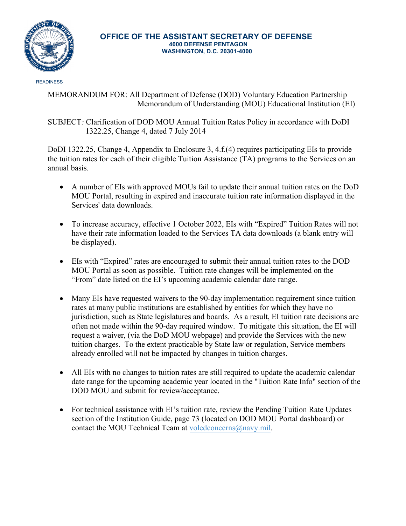

## **OFFICE OF THE ASSISTANT SECRETARY OF DEFENSE 4000 DEFENSE PENTAGON WASHINGTON, D.C. 20301-4000**

**READINESS** 

MEMORANDUM FOR: All Department of Defense (DOD) Voluntary Education Partnership Memorandum of Understanding (MOU) Educational Institution (EI)

SUBJECT*:* Clarification of DOD MOU Annual Tuition Rates Policy in accordance with DoDI 1322.25, Change 4, dated 7 July 2014

DoDI 1322.25, Change 4, Appendix to Enclosure 3, 4.f.(4) requires participating EIs to provide the tuition rates for each of their eligible Tuition Assistance (TA) programs to the Services on an annual basis.

- A number of EIs with approved MOUs fail to update their annual tuition rates on the DoD MOU Portal, resulting in expired and inaccurate tuition rate information displayed in the Services' data downloads.
- To increase accuracy, effective 1 October 2022, EIs with "Expired" Tuition Rates will not have their rate information loaded to the Services TA data downloads (a blank entry will be displayed).
- EIs with "Expired" rates are encouraged to submit their annual tuition rates to the DOD MOU Portal as soon as possible. Tuition rate changes will be implemented on the "From" date listed on the EI's upcoming academic calendar date range.
- Many EIs have requested waivers to the 90-day implementation requirement since tuition rates at many public institutions are established by entities for which they have no jurisdiction, such as State legislatures and boards. As a result, EI tuition rate decisions are often not made within the 90-day required window. To mitigate this situation, the EI will request a waiver, (via the DoD MOU webpage) and provide the Services with the new tuition charges. To the extent practicable by State law or regulation, Service members already enrolled will not be impacted by changes in tuition charges.
- All EIs with no changes to tuition rates are still required to update the academic calendar date range for the upcoming academic year located in the "Tuition Rate Info" section of the DOD MOU and submit for review/acceptance.
- For technical assistance with EI's tuition rate, review the Pending Tuition Rate Updates section of the Institution Guide, page 73 (located on DOD MOU Portal dashboard) or contact the MOU Technical Team at [voledconcerns@navy.mil.](mailto:voledconcerns@navy.mil)